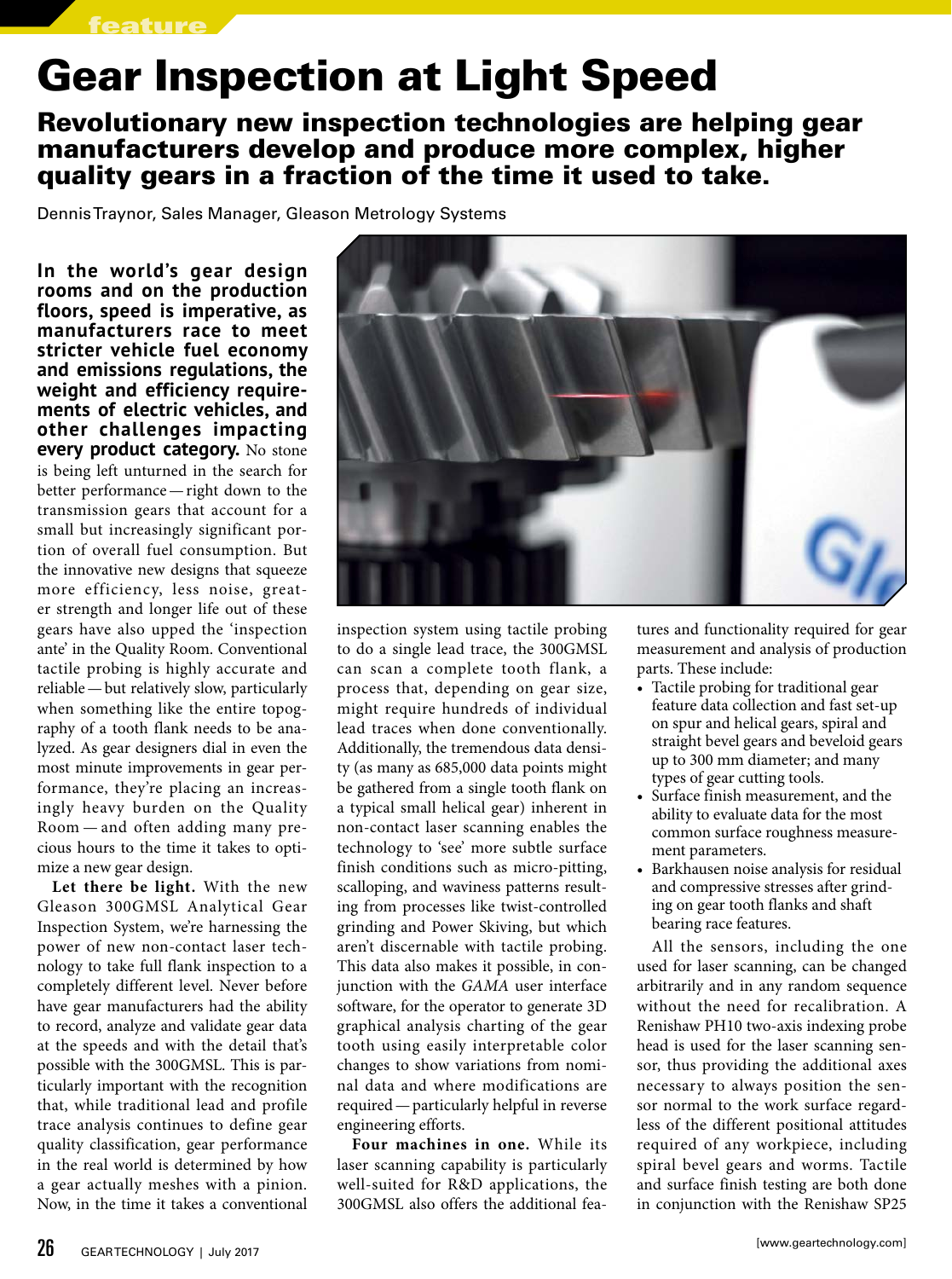## Gear Inspection at Light Speed

Revolutionary new inspection technologies are helping gear manufacturers develop and produce more complex, higher quality gears in a fraction of the time it used to take.

Dennis Traynor, Sales Manager, Gleason Metrology Systems

**In the world's gear design rooms and on the production floors, speed is imperative, as manufacturers race to meet stricter vehicle fuel economy and emissions regulations, the weight and efficiency requirements of electric vehicles, and other challenges impacting every product category.** No stone is being left unturned in the search for better performance—right down to the transmission gears that account for a small but increasingly significant portion of overall fuel consumption. But the innovative new designs that squeeze more efficiency, less noise, greater strength and longer life out of these gears have also upped the 'inspection ante' in the Quality Room. Conventional tactile probing is highly accurate and reliable—but relatively slow, particularly when something like the entire topography of a tooth flank needs to be analyzed. As gear designers dial in even the most minute improvements in gear performance, they're placing an increasingly heavy burden on the Quality Room — and often adding many precious hours to the time it takes to optimize a new gear design.

**Let there be light.** With the new Gleason 300GMSL Analytical Gear Inspection System, we're harnessing the power of new non-contact laser technology to take full flank inspection to a completely different level. Never before have gear manufacturers had the ability to record, analyze and validate gear data at the speeds and with the detail that's possible with the 300GMSL. This is particularly important with the recognition that, while traditional lead and profile trace analysis continues to define gear quality classification, gear performance in the real world is determined by how a gear actually meshes with a pinion. Now, in the time it takes a conventional



inspection system using tactile probing to do a single lead trace, the 300GMSL can scan a complete tooth flank, a process that, depending on gear size, might require hundreds of individual lead traces when done conventionally. Additionally, the tremendous data density (as many as 685,000 data points might be gathered from a single tooth flank on a typical small helical gear) inherent in non-contact laser scanning enables the technology to 'see' more subtle surface finish conditions such as micro-pitting, scalloping, and waviness patterns resulting from processes like twist-controlled grinding and Power Skiving, but which aren't discernable with tactile probing. This data also makes it possible, in conjunction with the *GAMA* user interface software, for the operator to generate 3D graphical analysis charting of the gear tooth using easily interpretable color changes to show variations from nominal data and where modifications are required—particularly helpful in reverse engineering efforts.

**Four machines in one.** While its laser scanning capability is particularly well-suited for R&D applications, the 300GMSL also offers the additional features and functionality required for gear measurement and analysis of production parts. These include:

- Tactile probing for traditional gear feature data collection and fast set-up on spur and helical gears, spiral and straight bevel gears and beveloid gears up to 300 mm diameter; and many types of gear cutting tools.
- Surface finish measurement, and the ability to evaluate data for the most common surface roughness measurement parameters.
- Barkhausen noise analysis for residual and compressive stresses after grinding on gear tooth flanks and shaft bearing race features.

All the sensors, including the one used for laser scanning, can be changed arbitrarily and in any random sequence without the need for recalibration. A Renishaw PH10 two-axis indexing probe head is used for the laser scanning sensor, thus providing the additional axes necessary to always position the sensor normal to the work surface regardless of the different positional attitudes required of any workpiece, including spiral bevel gears and worms. Tactile and surface finish testing are both done in conjunction with the Renishaw SP25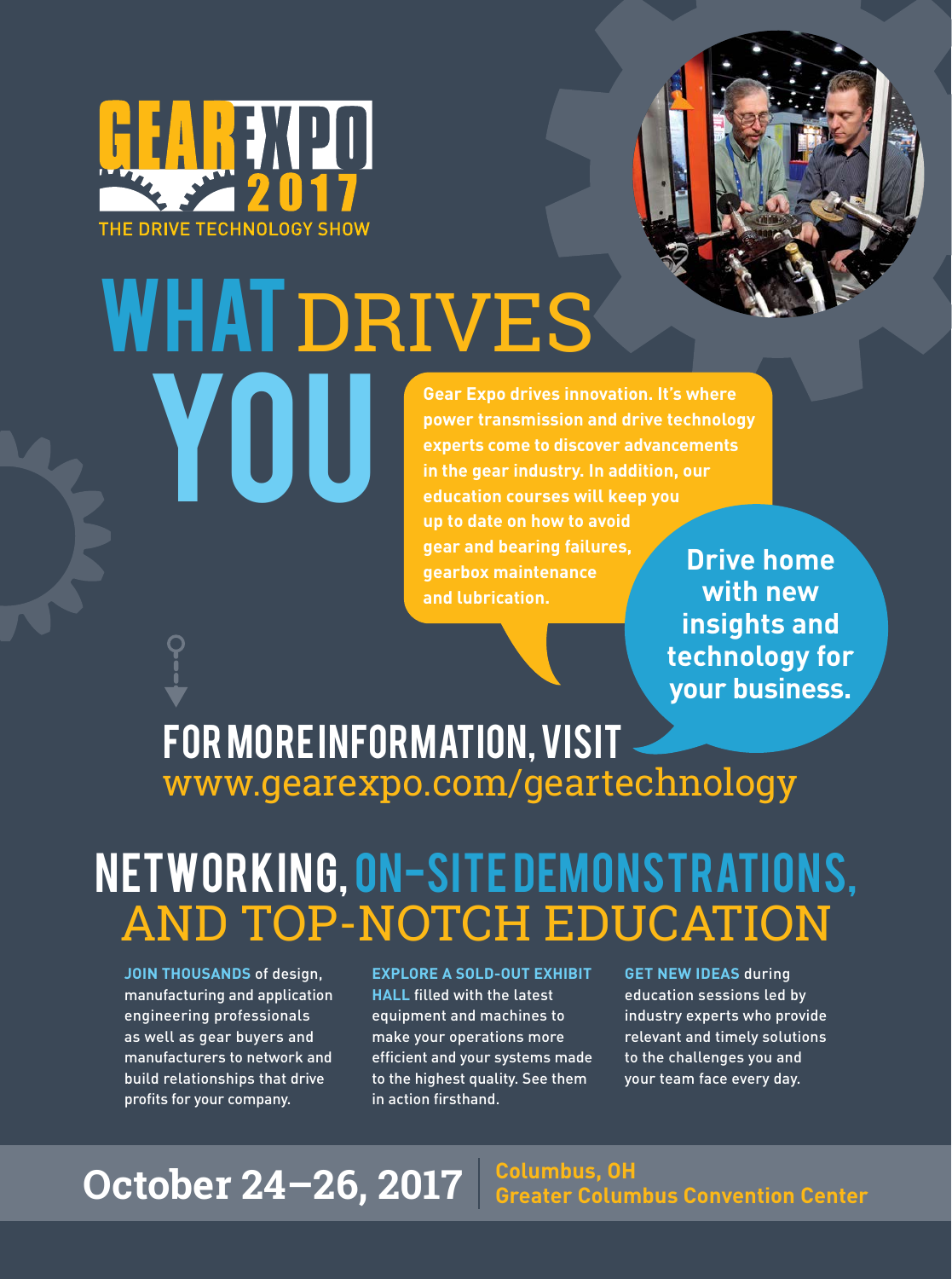



**power transmission and drive technology experts come to discover advancements in the gear industry. In addition, our education courses will keep you up to date on how to avoid gear and bearing failures, gearbox maintenance and lubrication.**

**Drive home with new insights and technology for your business.** 

### www.gearexpo.com/geartechnology for more information, visit

# Networking, On-site Demonstrations, AND TOP-NOTCH EDUCATION

**JOIN THOUSANDS** of design, manufacturing and application engineering professionals as well as gear buyers and manufacturers to network and build relationships that drive profits for your company.

#### **EXPLORE A SOLD-OUT EXHIBIT**

**HALL** filled with the latest equipment and machines to make your operations more efficient and your systems made to the highest quality. See them in action firsthand.

**GET NEW IDEAS** during education sessions led by industry experts who provide relevant and timely solutions to the challenges you and your team face every day.

### October 24-26, 2017 **Columbus, OH Greater Columbus Convention Center**